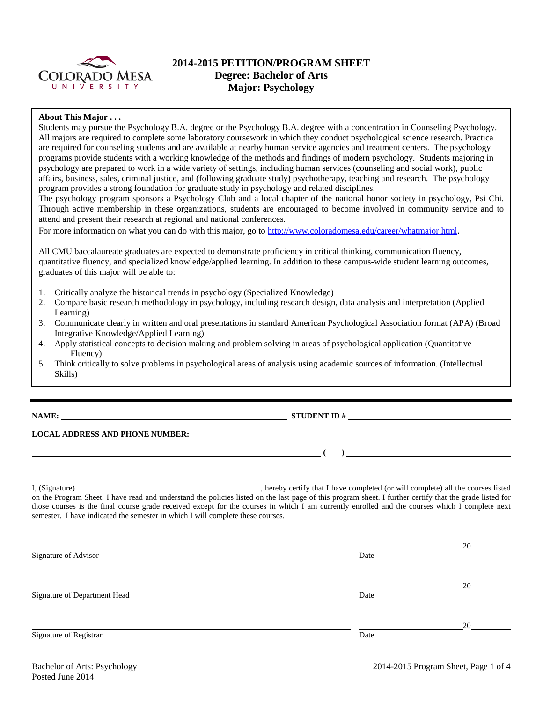

# **2014-2015 PETITION/PROGRAM SHEET Degree: Bachelor of Arts Major: Psychology**

### **About This Major . . .**

Students may pursue the Psychology B.A. degree or the Psychology B.A. degree with a concentration in Counseling Psychology. All majors are required to complete some laboratory coursework in which they conduct psychological science research. Practica are required for counseling students and are available at nearby human service agencies and treatment centers. The psychology programs provide students with a working knowledge of the methods and findings of modern psychology. Students majoring in psychology are prepared to work in a wide variety of settings, including human services (counseling and social work), public affairs, business, sales, criminal justice, and (following graduate study) psychotherapy, teaching and research. The psychology program provides a strong foundation for graduate study in psychology and related disciplines.

The psychology program sponsors a Psychology Club and a local chapter of the national honor society in psychology, Psi Chi. Through active membership in these organizations, students are encouraged to become involved in community service and to attend and present their research at regional and national conferences.

For more information on what you can do with this major, go to [http://www.coloradomesa.edu/career/whatmajor.html.](http://www.coloradomesa.edu/career/whatmajor.html)

All CMU baccalaureate graduates are expected to demonstrate proficiency in critical thinking, communication fluency, quantitative fluency, and specialized knowledge/applied learning. In addition to these campus-wide student learning outcomes, graduates of this major will be able to:

- 1. Critically analyze the historical trends in psychology (Specialized Knowledge)
- 2. Compare basic research methodology in psychology, including research design, data analysis and interpretation (Applied Learning)
- 3. Communicate clearly in written and oral presentations in standard American Psychological Association format (APA) (Broad Integrative Knowledge/Applied Learning)
- 4. Apply statistical concepts to decision making and problem solving in areas of psychological application (Quantitative Fluency)
- 5. Think critically to solve problems in psychological areas of analysis using academic sources of information. (Intellectual Skills)

## **NAME: STUDENT ID #**

### **LOCAL ADDRESS AND PHONE NUMBER:**

I, (Signature) , hereby certify that I have completed (or will complete) all the courses listed on the Program Sheet. I have read and understand the policies listed on the last page of this program sheet. I further certify that the grade listed for those courses is the final course grade received except for the courses in which I am currently enrolled and the courses which I complete next semester. I have indicated the semester in which I will complete these courses.

|      | 20 |
|------|----|
| Date |    |
|      |    |
|      | 20 |
| Date |    |
|      |    |
|      | 20 |
| Date |    |
|      |    |

**( )**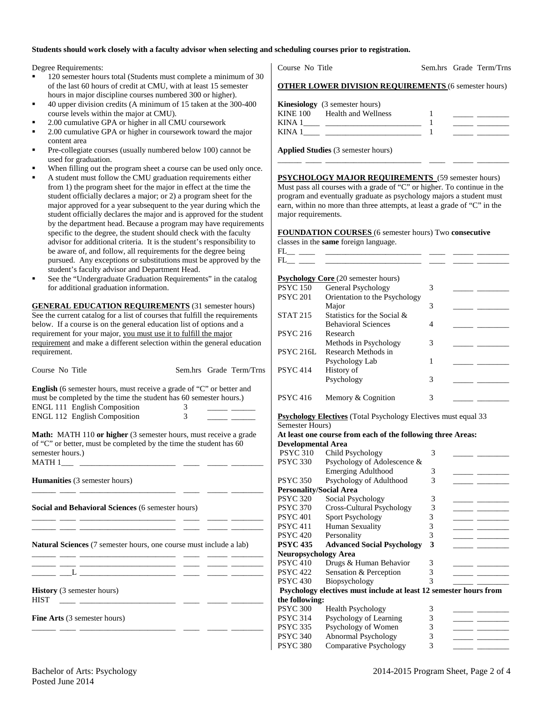#### **Students should work closely with a faculty advisor when selecting and scheduling courses prior to registration.**

Degree Requirements:

- 120 semester hours total (Students must complete a minimum of 30 of the last 60 hours of credit at CMU, with at least 15 semester hours in major discipline courses numbered 300 or higher).
- 40 upper division credits (A minimum of 15 taken at the 300-400 course levels within the major at CMU).
- 2.00 cumulative GPA or higher in all CMU coursework
- 2.00 cumulative GPA or higher in coursework toward the major content area
- Pre-collegiate courses (usually numbered below 100) cannot be used for graduation.
- When filling out the program sheet a course can be used only once.
- A student must follow the CMU graduation requirements either from 1) the program sheet for the major in effect at the time the student officially declares a major; or 2) a program sheet for the major approved for a year subsequent to the year during which the student officially declares the major and is approved for the student by the department head. Because a program may have requirements specific to the degree, the student should check with the faculty advisor for additional criteria. It is the student's responsibility to be aware of, and follow, all requirements for the degree being pursued. Any exceptions or substitutions must be approved by the student's faculty advisor and Department Head.
- See the "Undergraduate Graduation Requirements" in the catalog for additional graduation information.

**GENERAL EDUCATION REQUIREMENTS** (31 semester hours) See the current catalog for a list of courses that fulfill the requirements below. If a course is on the general education list of options and a requirement for your major, you must use it to fulfill the major requirement and make a different selection within the general education requirement.

| requirement.                                                                                                                                                                                                     |        |                         |
|------------------------------------------------------------------------------------------------------------------------------------------------------------------------------------------------------------------|--------|-------------------------|
| Course No Title                                                                                                                                                                                                  |        | Sem.hrs Grade Term/Trns |
| <b>English</b> (6 semester hours, must receive a grade of "C" or better and<br>must be completed by the time the student has 60 semester hours.)<br>ENGL 111 English Composition<br>ENGL 112 English Composition | 3<br>3 |                         |
| <b>Math:</b> MATH 110 or higher (3 semester hours, must receive a grade<br>of "C" or better, must be completed by the time the student has 60<br>semester hours.)                                                |        |                         |
| <b>Humanities</b> (3 semester hours)<br><u> 1989 - Johann John Harry Harry Harry Harry Harry Harry Harry Harry Harry Harry Harry Harry Harry Harry Harry H</u>                                                   |        |                         |
| Social and Behavioral Sciences (6 semester hours)                                                                                                                                                                |        |                         |
| Natural Sciences (7 semester hours, one course must include a lab)                                                                                                                                               |        |                         |
|                                                                                                                                                                                                                  |        |                         |
| <b>History</b> (3 semester hours)<br><b>HIST</b><br><u> 222 - 222 - 222 - 222 - 222 - 222 - 222 - 222 - 222 - 222 - 222 - 222 - 222 - 222 - 222 - 222 - 22</u>                                                   |        |                         |
| <b>Fine Arts</b> (3 semester hours)                                                                                                                                                                              |        |                         |
|                                                                                                                                                                                                                  |        |                         |

Course No Title Sem.hrs Grade Term/Trns

#### **OTHER LOWER DIVISION REQUIREMENTS** (6 semester hours)

|        | <b>Kinesiology</b> (3 semester hours) |  |  |
|--------|---------------------------------------|--|--|
|        | KINE 100 Health and Wellness          |  |  |
| KINA 1 |                                       |  |  |
| KINA.  |                                       |  |  |
|        |                                       |  |  |

\_\_\_\_\_\_ \_\_\_\_ \_\_\_\_\_\_\_\_\_\_\_\_\_\_\_\_\_\_\_\_\_\_\_\_ \_\_\_\_ \_\_\_\_\_ \_\_\_\_\_\_\_\_

**Applied Studies** (3 semester hours)

**PSYCHOLOGY MAJOR REQUIREMENTS** (59 semester hours) Must pass all courses with a grade of "C" or higher. To continue in the program and eventually graduate as psychology majors a student must earn, within no more than three attempts, at least a grade of "C" in the major requirements.

#### **FOUNDATION COURSES** (6 semester hours) Two **consecutive**

|                 | classes in the same foreign language.      |   |  |
|-----------------|--------------------------------------------|---|--|
| FL.             |                                            |   |  |
| FL.             |                                            |   |  |
|                 |                                            |   |  |
|                 | <b>Psychology Core</b> (20 semester hours) |   |  |
| <b>PSYC 150</b> | General Psychology                         | 3 |  |
| <b>PSYC 201</b> | Orientation to the Psychology              |   |  |
|                 | Major                                      | 3 |  |
| <b>STAT 215</b> | Statistics for the Social &                |   |  |
|                 | <b>Behavioral Sciences</b>                 | 4 |  |
| <b>PSYC 216</b> | Research                                   |   |  |
|                 | Methods in Psychology                      | 3 |  |
| PSYC 216L       | Research Methods in                        |   |  |
|                 | Psychology Lab                             | 1 |  |
| <b>PSYC 414</b> | History of                                 |   |  |
|                 | Psychology                                 | 3 |  |
|                 |                                            |   |  |
| <b>PSYC 416</b> | Memory & Cognition                         | 3 |  |

## **Psychology Electives** (Total Psychology Electives must equal 33

Semester Hours)

**At least one course from each of the following three Areas: Developmental Area**

| реуеюршенца Агеа               |                                                                   |   |  |
|--------------------------------|-------------------------------------------------------------------|---|--|
| <b>PSYC 310</b>                | Child Psychology                                                  | 3 |  |
| <b>PSYC 330</b>                | Psychology of Adolescence &                                       |   |  |
|                                | Emerging Adulthood                                                | 3 |  |
| <b>PSYC 350</b>                | Psychology of Adulthood                                           | 3 |  |
| <b>Personality/Social Area</b> |                                                                   |   |  |
| <b>PSYC 320</b>                | Social Psychology                                                 | 3 |  |
| <b>PSYC 370</b>                | Cross-Cultural Psychology                                         | 3 |  |
| <b>PSYC 401</b>                | <b>Sport Psychology</b>                                           | 3 |  |
| <b>PSYC 411</b>                | Human Sexuality                                                   | 3 |  |
| <b>PSYC 420</b>                | Personality                                                       | 3 |  |
| <b>PSYC 435</b>                | <b>Advanced Social Psychology</b>                                 | 3 |  |
| <b>Neuropsychology Area</b>    |                                                                   |   |  |
| <b>PSYC 410</b>                | Drugs & Human Behavior                                            | 3 |  |
| <b>PSYC 422</b>                | Sensation & Perception                                            | 3 |  |
| <b>PSYC 430</b>                | Biopsychology                                                     | 3 |  |
|                                | Psychology electives must include at least 12 semester hours from |   |  |
| the following:                 |                                                                   |   |  |
| <b>PSYC 300</b>                | Health Psychology                                                 | 3 |  |
| <b>PSYC 314</b>                | Psychology of Learning                                            | 3 |  |
| <b>PSYC 335</b>                | Psychology of Women                                               | 3 |  |
| <b>PSYC 340</b>                | Abnormal Psychology                                               | 3 |  |
| <b>PSYC 380</b>                | <b>Comparative Psychology</b>                                     | 3 |  |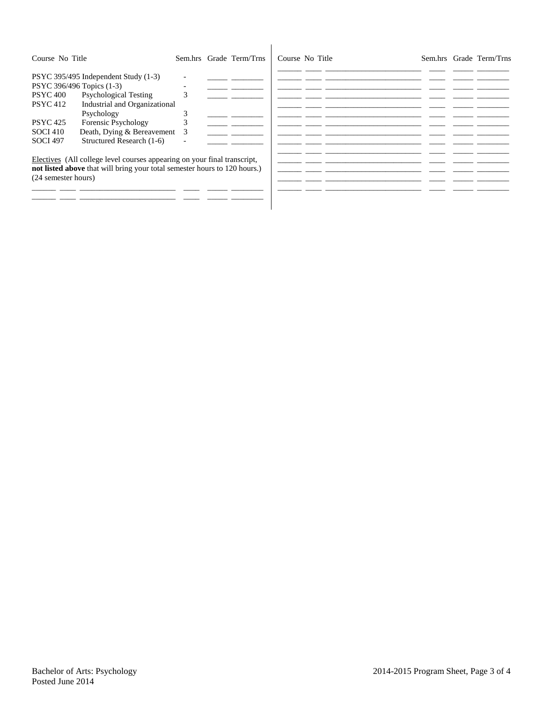| Course No Title                                                                                                                                                                                                                                                                                                                   |        | Sem.hrs Grade Term/Trns | Course No Title |  | Sem.hrs Grade Term/Trns |
|-----------------------------------------------------------------------------------------------------------------------------------------------------------------------------------------------------------------------------------------------------------------------------------------------------------------------------------|--------|-------------------------|-----------------|--|-------------------------|
| PSYC 395/495 Independent Study (1-3)<br>PSYC 396/496 Topics (1-3)<br><b>Psychological Testing</b><br><b>PSYC 400</b><br>Industrial and Organizational<br><b>PSYC</b> 412<br>Psychology<br>Forensic Psychology<br><b>PSYC</b> 425<br>Death, Dying & Bereavement<br><b>SOCI 410</b><br>Structured Research (1-6)<br><b>SOCI 497</b> | 3<br>3 |                         |                 |  |                         |
| Electives (All college level courses appearing on your final transcript,<br>not listed above that will bring your total semester hours to 120 hours.)<br>(24 semester hours)                                                                                                                                                      |        |                         |                 |  |                         |

 $\overline{\phantom{a}}$